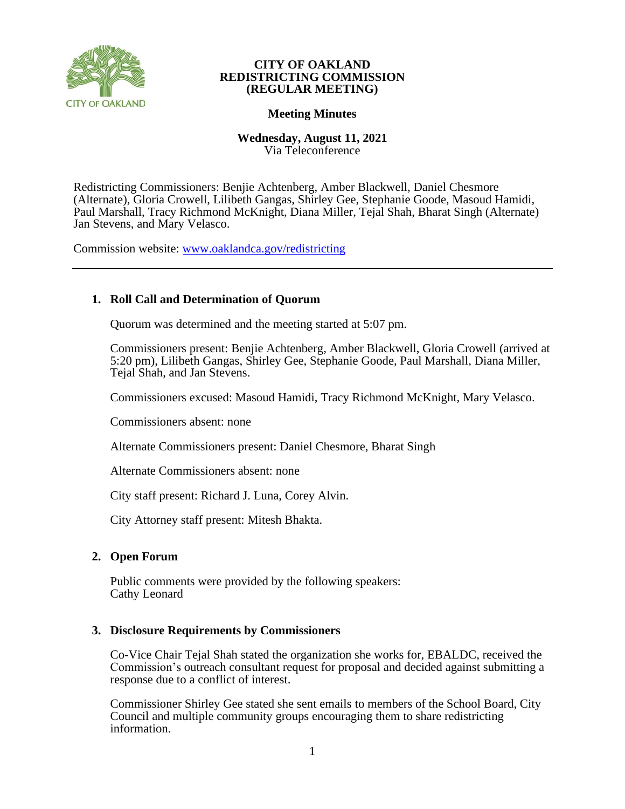

# **Meeting Minutes**

**Wednesday, August 11, 2021** Via Teleconference

Redistricting Commissioners: Benjie Achtenberg, Amber Blackwell, Daniel Chesmore (Alternate), Gloria Crowell, Lilibeth Gangas, Shirley Gee, Stephanie Goode, Masoud Hamidi, Paul Marshall, Tracy Richmond McKnight, Diana Miller, Tejal Shah, Bharat Singh (Alternate) Jan Stevens, and Mary Velasco.

Commission website: [www.oaklandca.gov/redistricting](https://www.oaklandca.gov/boards-commissions/redistricting-commission/meetings)

# **1. Roll Call and Determination of Quorum**

Quorum was determined and the meeting started at 5:07 pm.

Commissioners present: Benjie Achtenberg, Amber Blackwell, Gloria Crowell (arrived at 5:20 pm), Lilibeth Gangas, Shirley Gee, Stephanie Goode, Paul Marshall, Diana Miller, Tejal Shah, and Jan Stevens.

Commissioners excused: Masoud Hamidi, Tracy Richmond McKnight, Mary Velasco.

Commissioners absent: none

Alternate Commissioners present: Daniel Chesmore, Bharat Singh

Alternate Commissioners absent: none

City staff present: Richard J. Luna, Corey Alvin.

City Attorney staff present: Mitesh Bhakta.

## **2. Open Forum**

Public comments were provided by the following speakers: Cathy Leonard

## **3. Disclosure Requirements by Commissioners**

Co-Vice Chair Tejal Shah stated the organization she works for, EBALDC, received the Commission's outreach consultant request for proposal and decided against submitting a response due to a conflict of interest.

Commissioner Shirley Gee stated she sent emails to members of the School Board, City Council and multiple community groups encouraging them to share redistricting information.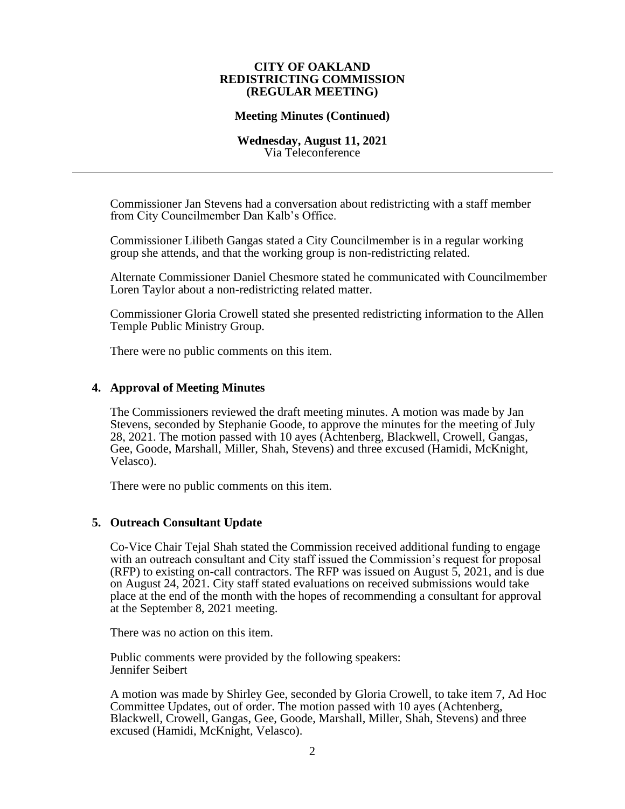## **Meeting Minutes (Continued)**

#### **Wednesday, August 11, 2021** Via Teleconference

Commissioner Jan Stevens had a conversation about redistricting with a staff member from City Councilmember Dan Kalb's Office.

Commissioner Lilibeth Gangas stated a City Councilmember is in a regular working group she attends, and that the working group is non-redistricting related.

Alternate Commissioner Daniel Chesmore stated he communicated with Councilmember Loren Taylor about a non-redistricting related matter.

Commissioner Gloria Crowell stated she presented redistricting information to the Allen Temple Public Ministry Group.

There were no public comments on this item.

#### **4. Approval of Meeting Minutes**

The Commissioners reviewed the draft meeting minutes. A motion was made by Jan Stevens, seconded by Stephanie Goode, to approve the minutes for the meeting of July 28, 2021. The motion passed with 10 ayes (Achtenberg, Blackwell, Crowell, Gangas, Gee, Goode, Marshall, Miller, Shah, Stevens) and three excused (Hamidi, McKnight, Velasco).

There were no public comments on this item.

#### **5. Outreach Consultant Update**

Co-Vice Chair Tejal Shah stated the Commission received additional funding to engage with an outreach consultant and City staff issued the Commission's request for proposal (RFP) to existing on-call contractors. The RFP was issued on August  $\overline{5}$ , 2021, and is due on August 24, 2021. City staff stated evaluations on received submissions would take place at the end of the month with the hopes of recommending a consultant for approval at the September 8, 2021 meeting.

There was no action on this item.

Public comments were provided by the following speakers: Jennifer Seibert

A motion was made by Shirley Gee, seconded by Gloria Crowell, to take item 7, Ad Hoc Committee Updates, out of order. The motion passed with 10 ayes (Achtenberg, Blackwell, Crowell, Gangas, Gee, Goode, Marshall, Miller, Shah, Stevens) and three excused (Hamidi, McKnight, Velasco).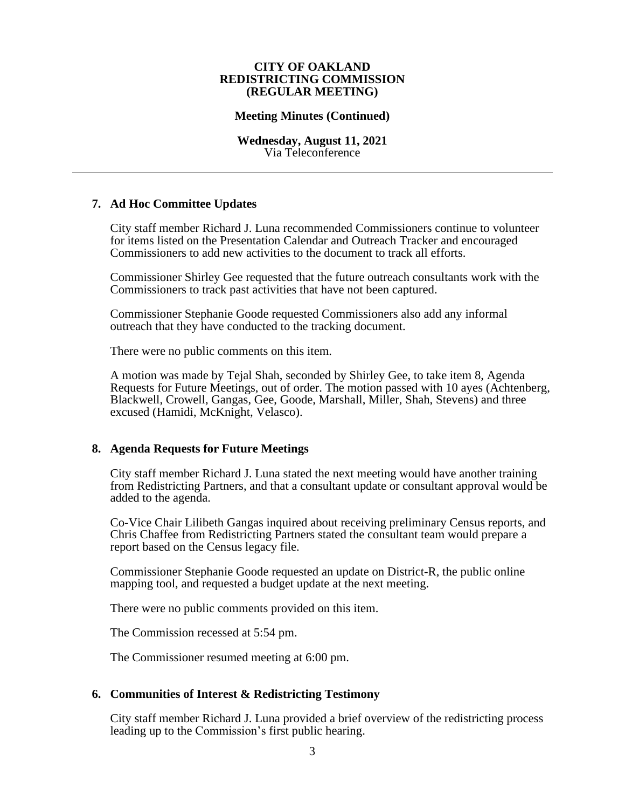### **Meeting Minutes (Continued)**

#### **Wednesday, August 11, 2021** Via Teleconference

## **7. Ad Hoc Committee Updates**

City staff member Richard J. Luna recommended Commissioners continue to volunteer for items listed on the Presentation Calendar and Outreach Tracker and encouraged Commissioners to add new activities to the document to track all efforts.

Commissioner Shirley Gee requested that the future outreach consultants work with the Commissioners to track past activities that have not been captured.

Commissioner Stephanie Goode requested Commissioners also add any informal outreach that they have conducted to the tracking document.

There were no public comments on this item.

A motion was made by Tejal Shah, seconded by Shirley Gee, to take item 8, Agenda Requests for Future Meetings, out of order. The motion passed with 10 ayes (Achtenberg, Blackwell, Crowell, Gangas, Gee, Goode, Marshall, Miller, Shah, Stevens) and three excused (Hamidi, McKnight, Velasco).

## **8. Agenda Requests for Future Meetings**

City staff member Richard J. Luna stated the next meeting would have another training from Redistricting Partners, and that a consultant update or consultant approval would be added to the agenda.

Co-Vice Chair Lilibeth Gangas inquired about receiving preliminary Census reports, and Chris Chaffee from Redistricting Partners stated the consultant team would prepare a report based on the Census legacy file.

Commissioner Stephanie Goode requested an update on District-R, the public online mapping tool, and requested a budget update at the next meeting.

There were no public comments provided on this item.

The Commission recessed at 5:54 pm.

The Commissioner resumed meeting at 6:00 pm.

## **6. Communities of Interest & Redistricting Testimony**

City staff member Richard J. Luna provided a brief overview of the redistricting process leading up to the Commission's first public hearing.